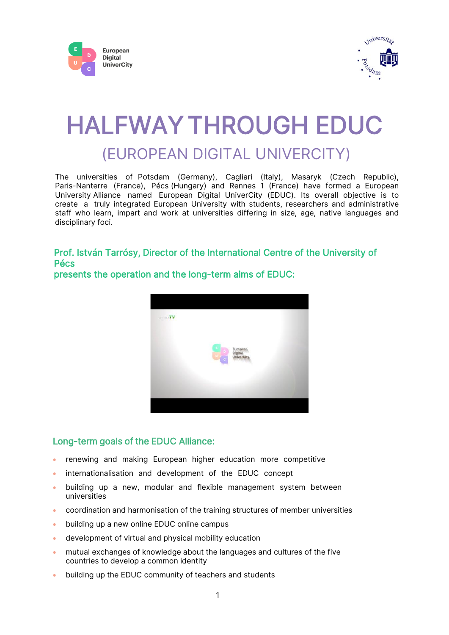



# HALFWAY THROUGH EDUC (EUROPEAN DIGITAL UNIVERCITY)

The universities of Potsdam (Germany), Cagliari (Italy), Masaryk (Czech Republic), Paris-Nanterre (France), Pécs (Hungary) and Rennes 1 (France) have formed a European University Alliance named European Digital UniverCity (EDUC). Its overall objective is to create a truly integrated European University with students, researchers and administrative staff who learn, impart and work at universities differing in size, age, native languages and disciplinary foci.

# Prof. István Tarrósy, Director of the International Centre of the University of Pécs



presents the operation and the long-term aims of EDUC:

## Long-term goals of the EDUC Alliance:

- renewing and making European higher education more competitive
- internationalisation and development of the EDUC concept
- building up a new, modular and flexible management system between universities
- coordination and harmonisation of the training structures of member universities
- building up a new online EDUC online campus
- development of virtual and physical mobility education
- mutual exchanges of knowledge about the languages and cultures of the five countries to develop a common identity
- building up the EDUC community of teachers and students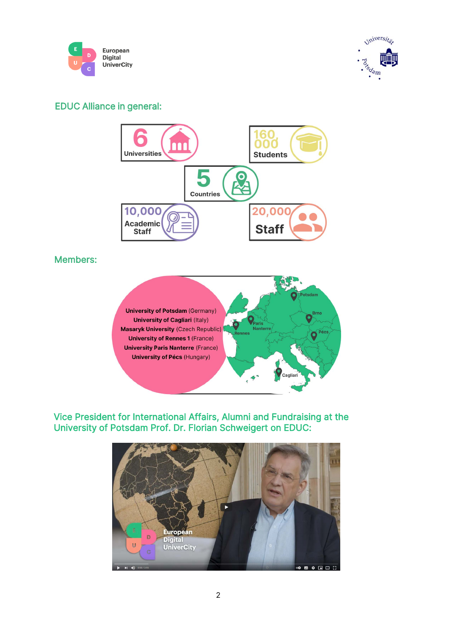



# EDUC Alliance in general:



## Members:



Vice President for International Affairs, Alumni and Fundraising at the University of Potsdam Prof. Dr. Florian Schweigert on EDUC:

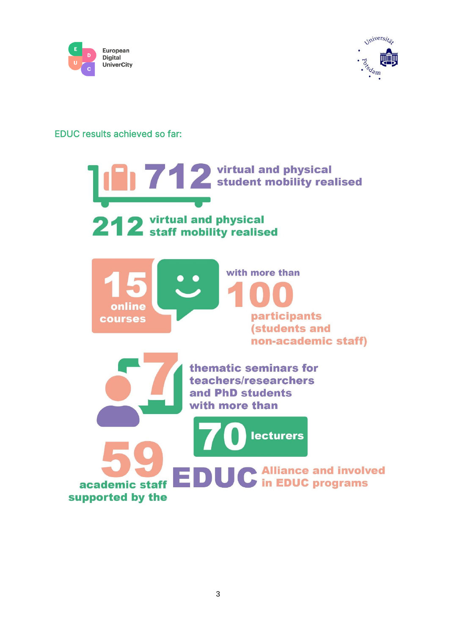



### EDUC results achieved so far:

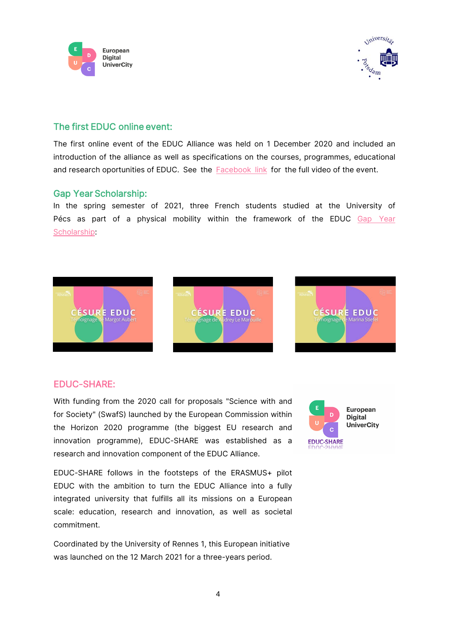



### The first EDUC online event:

The first online event of the EDUC Alliance was held on 1 December 2020 and included an introduction of the alliance as well as specifications on the courses, programmes, educational and research oportunities of EDUC. See the [Facebook link](https://www.facebook.com/educunivercity/videos/944350406090903/) for the full video of the event.

#### Gap Year Scholarship:

In the spring semester of 2021, three French students studied at the University of [Pécs as part of a physical mobility within the framework of the EDUC Gap Year](https://educalliance.eu/student/whatwedo/gapyear) Scholarship:



#### [EDUC-SHARE:](https://educalliance.eu/new/networking-in-research-and-innovation-process-by-h2020-program/)

With funding from the 2020 call for proposals "Science with and for Society" (SwafS) launched by the European Commission within the Horizon 2020 programme (the biggest EU research and innovation programme), EDUC-SHARE was established as a research and innovation component of the EDUC Alliance.



EDUC-SHARE follows in the footsteps of the ERASMUS+ pilot EDUC with the ambition to turn the EDUC Alliance into a fully integrated university that fulfills all its missions on a European scale: education, research and innovation, as well as societal commitment.

Coordinated by the University of Rennes 1, this European initiative was launched on the 12 March 2021 for a three-years period.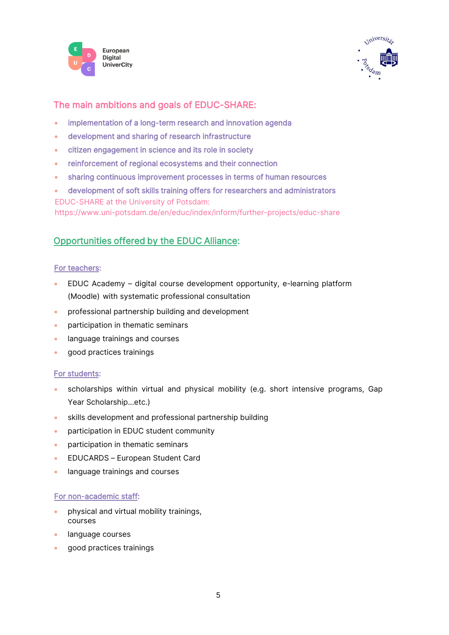



# The main ambitions and goals of EDUC-SHARE:

- implementation of a long-term research and innovation agenda
- development and sharing of research infrastructure
- citizen engagement in science and its role in society
- reinforcement of regional ecosystems and their connection
- sharing continuous improvement processes in terms of human resources
- development of soft skills training offers for researchers and administrators EDUC-SHARE at the University of Potsdam:

<https://www.uni-potsdam.de/en/educ/index/inform/further-projects/educ-share>

## Opportunities offered b[y the EDUC Alliance:](https://educalliance.eu/)

#### [For teachers:](https://educalliance.eu/academicstaff/)

- EDUC Academy digital course development opportunity, e-learning platform (Moodle) with systematic professional consultation
- professional partnership building and development
- participation in thematic seminars
- language trainings and courses
- good practices trainings

#### [For students:](https://educalliance.eu/student/)

- scholarships within virtual and physical mobility (e.g. short intensive programs, Gap Year Scholarship…etc.)
- skills development and professional partnership building
- participation in EDUC student community
- participation in thematic seminars
- EDUCARDS European Student Card
- language trainings and courses

#### [For non-academic staff:](https://educalliance.eu/nonacademicstaff/)

- physical and virtual mobility trainings, courses
- language courses
- good practices trainings